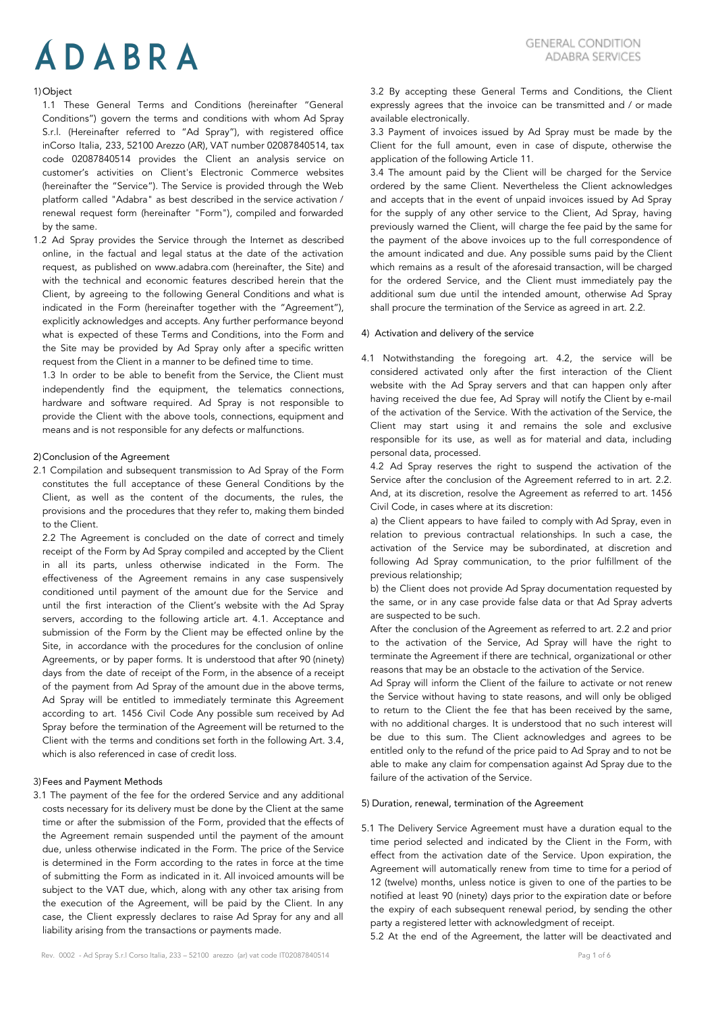# 1)Object

1.1 These General Terms and Conditions (hereinafter "General Conditions") govern the terms and conditions with whom Ad Spray S.r.l. (Hereinafter referred to "Ad Spray"), with registered office inCorso Italia, 233, 52100 Arezzo (AR), VAT number 02087840514, tax code 02087840514 provides the Client an analysis service on customer's activities on Client's Electronic Commerce websites (hereinafter the "Service"). The Service is provided through the Web platform called "Adabra" as best described in the service activation / renewal request form (hereinafter "Form"), compiled and forwarded by the same.

1.2 Ad Spray provides the Service through the Internet as described online, in the factual and legal status at the date of the activation request, as published on www.adabra.com (hereinafter, the Site) and with the technical and economic features described herein that the Client, by agreeing to the following General Conditions and what is indicated in the Form (hereinafter together with the "Agreement"), explicitly acknowledges and accepts. Any further performance beyond what is expected of these Terms and Conditions, into the Form and the Site may be provided by Ad Spray only after a specific written request from the Client in a manner to be defined time to time.

1.3 In order to be able to benefit from the Service, the Client must independently find the equipment, the telematics connections, hardware and software required. Ad Spray is not responsible to provide the Client with the above tools, connections, equipment and means and is not responsible for any defects or malfunctions.

## 2)Conclusion of the Agreement

2.1 Compilation and subsequent transmission to Ad Spray of the Form constitutes the full acceptance of these General Conditions by the Client, as well as the content of the documents, the rules, the provisions and the procedures that they refer to, making them binded to the Client.

2.2 The Agreement is concluded on the date of correct and timely receipt of the Form by Ad Spray compiled and accepted by the Client in all its parts, unless otherwise indicated in the Form. The effectiveness of the Agreement remains in any case suspensively conditioned until payment of the amount due for the Service and until the first interaction of the Client's website with the Ad Spray servers, according to the following article art. 4.1. Acceptance and submission of the Form by the Client may be effected online by the Site, in accordance with the procedures for the conclusion of online Agreements, or by paper forms. It is understood that after 90 (ninety) days from the date of receipt of the Form, in the absence of a receipt of the payment from Ad Spray of the amount due in the above terms, Ad Spray will be entitled to immediately terminate this Agreement according to art. 1456 Civil Code Any possible sum received by Ad Spray before the termination of the Agreement will be returned to the Client with the terms and conditions set forth in the following Art. 3.4, which is also referenced in case of credit loss.

## 3)Fees and Payment Methods

3.1 The payment of the fee for the ordered Service and any additional costs necessary for its delivery must be done by the Client at the same time or after the submission of the Form, provided that the effects of the Agreement remain suspended until the payment of the amount due, unless otherwise indicated in the Form. The price of the Service is determined in the Form according to the rates in force at the time of submitting the Form as indicated in it. All invoiced amounts will be subject to the VAT due, which, along with any other tax arising from the execution of the Agreement, will be paid by the Client. In any case, the Client expressly declares to raise Ad Spray for any and all liability arising from the transactions or payments made.

3.2 By accepting these General Terms and Conditions, the Client expressly agrees that the invoice can be transmitted and / or made available electronically.

3.3 Payment of invoices issued by Ad Spray must be made by the Client for the full amount, even in case of dispute, otherwise the application of the following Article 11.

3.4 The amount paid by the Client will be charged for the Service ordered by the same Client. Nevertheless the Client acknowledges and accepts that in the event of unpaid invoices issued by Ad Spray for the supply of any other service to the Client, Ad Spray, having previously warned the Client, will charge the fee paid by the same for the payment of the above invoices up to the full correspondence of the amount indicated and due. Any possible sums paid by the Client which remains as a result of the aforesaid transaction, will be charged for the ordered Service, and the Client must immediately pay the additional sum due until the intended amount, otherwise Ad Spray shall procure the termination of the Service as agreed in art. 2.2.

## 4) Activation and delivery of the service

4.1 Notwithstanding the foregoing art. 4.2, the service will be considered activated only after the first interaction of the Client website with the Ad Spray servers and that can happen only after having received the due fee, Ad Spray will notify the Client by e-mail of the activation of the Service. With the activation of the Service, the Client may start using it and remains the sole and exclusive responsible for its use, as well as for material and data, including personal data, processed.

4.2 Ad Spray reserves the right to suspend the activation of the Service after the conclusion of the Agreement referred to in art. 2.2. And, at its discretion, resolve the Agreement as referred to art. 1456 Civil Code, in cases where at its discretion:

a) the Client appears to have failed to comply with Ad Spray, even in relation to previous contractual relationships. In such a case, the activation of the Service may be subordinated, at discretion and following Ad Spray communication, to the prior fulfillment of the previous relationship;

b) the Client does not provide Ad Spray documentation requested by the same, or in any case provide false data or that Ad Spray adverts are suspected to be such.

After the conclusion of the Agreement as referred to art. 2.2 and prior to the activation of the Service, Ad Spray will have the right to terminate the Agreement if there are technical, organizational or other reasons that may be an obstacle to the activation of the Service.

Ad Spray will inform the Client of the failure to activate or not renew the Service without having to state reasons, and will only be obliged to return to the Client the fee that has been received by the same, with no additional charges. It is understood that no such interest will be due to this sum. The Client acknowledges and agrees to be entitled only to the refund of the price paid to Ad Spray and to not be able to make any claim for compensation against Ad Spray due to the failure of the activation of the Service.

#### 5) Duration, renewal, termination of the Agreement

5.1 The Delivery Service Agreement must have a duration equal to the time period selected and indicated by the Client in the Form, with effect from the activation date of the Service. Upon expiration, the Agreement will automatically renew from time to time for a period of 12 (twelve) months, unless notice is given to one of the parties to be notified at least 90 (ninety) days prior to the expiration date or before the expiry of each subsequent renewal period, by sending the other party a registered letter with acknowledgment of receipt.

5.2 At the end of the Agreement, the latter will be deactivated and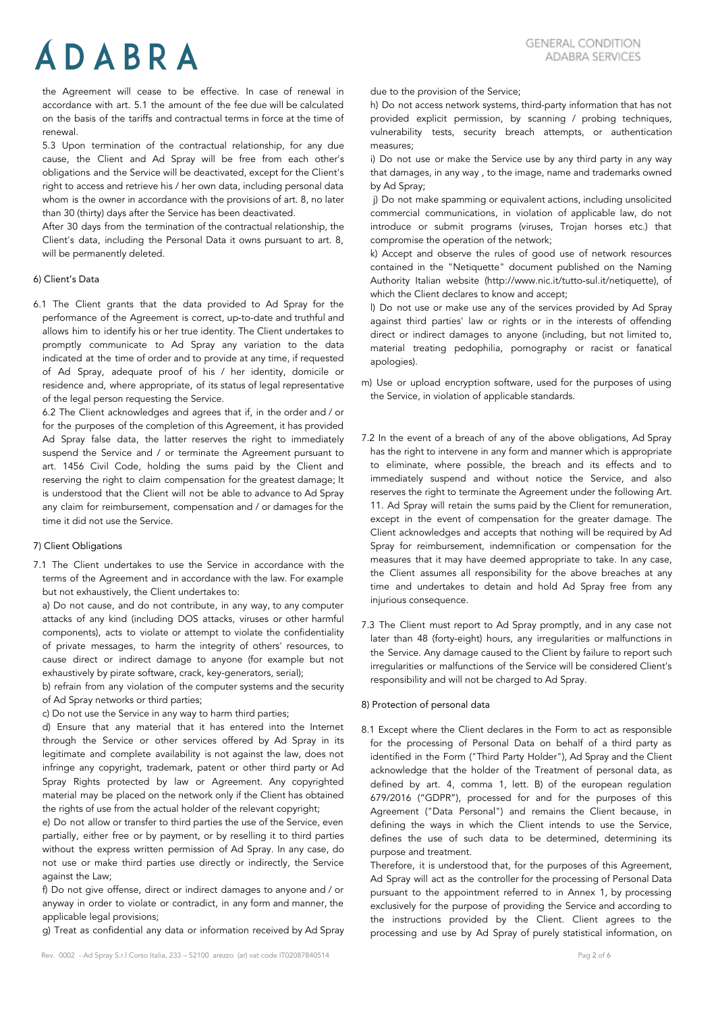the Agreement will cease to be effective. In case of renewal in accordance with art. 5.1 the amount of the fee due will be calculated on the basis of the tariffs and contractual terms in force at the time of renewal.

5.3 Upon termination of the contractual relationship, for any due cause, the Client and Ad Spray will be free from each other's obligations and the Service will be deactivated, except for the Client's right to access and retrieve his / her own data, including personal data whom is the owner in accordance with the provisions of art. 8, no later than 30 (thirty) days after the Service has been deactivated.

After 30 days from the termination of the contractual relationship, the Client's data, including the Personal Data it owns pursuant to art. 8, will be permanently deleted.

# 6) Client's Data

6.1 The Client grants that the data provided to Ad Spray for the performance of the Agreement is correct, up-to-date and truthful and allows him to identify his or her true identity. The Client undertakes to promptly communicate to Ad Spray any variation to the data indicated at the time of order and to provide at any time, if requested of Ad Spray, adequate proof of his / her identity, domicile or residence and, where appropriate, of its status of legal representative of the legal person requesting the Service.

6.2 The Client acknowledges and agrees that if, in the order and / or for the purposes of the completion of this Agreement, it has provided Ad Spray false data, the latter reserves the right to immediately suspend the Service and / or terminate the Agreement pursuant to art. 1456 Civil Code, holding the sums paid by the Client and reserving the right to claim compensation for the greatest damage; It is understood that the Client will not be able to advance to Ad Spray any claim for reimbursement, compensation and / or damages for the time it did not use the Service.

## 7) Client Obligations

7.1 The Client undertakes to use the Service in accordance with the terms of the Agreement and in accordance with the law. For example but not exhaustively, the Client undertakes to:

a) Do not cause, and do not contribute, in any way, to any computer attacks of any kind (including DOS attacks, viruses or other harmful components), acts to violate or attempt to violate the confidentiality of private messages, to harm the integrity of others' resources, to cause direct or indirect damage to anyone (for example but not exhaustively by pirate software, crack, key-generators, serial);

b) refrain from any violation of the computer systems and the security of Ad Spray networks or third parties;

c) Do not use the Service in any way to harm third parties;

d) Ensure that any material that it has entered into the Internet through the Service or other services offered by Ad Spray in its legitimate and complete availability is not against the law, does not infringe any copyright, trademark, patent or other third party or Ad Spray Rights protected by law or Agreement. Any copyrighted material may be placed on the network only if the Client has obtained the rights of use from the actual holder of the relevant copyright;

e) Do not allow or transfer to third parties the use of the Service, even partially, either free or by payment, or by reselling it to third parties without the express written permission of Ad Spray. In any case, do not use or make third parties use directly or indirectly, the Service against the Law;

f) Do not give offense, direct or indirect damages to anyone and / or anyway in order to violate or contradict, in any form and manner, the applicable legal provisions;

g) Treat as confidential any data or information received by Ad Spray

due to the provision of the Service;

h) Do not access network systems, third-party information that has not provided explicit permission, by scanning / probing techniques, vulnerability tests, security breach attempts, or authentication measures;

i) Do not use or make the Service use by any third party in any way that damages, in any way , to the image, name and trademarks owned by Ad Spray;

j) Do not make spamming or equivalent actions, including unsolicited commercial communications, in violation of applicable law, do not introduce or submit programs (viruses, Trojan horses etc.) that compromise the operation of the network;

k) Accept and observe the rules of good use of network resources contained in the "Netiquette" document published on the Naming Authority Italian website (http://www.nic.it/tutto-sul.it/netiquette), of which the Client declares to know and accept;

l) Do not use or make use any of the services provided by Ad Spray against third parties' law or rights or in the interests of offending direct or indirect damages to anyone (including, but not limited to, material treating pedophilia, pornography or racist or fanatical apologies).

m) Use or upload encryption software, used for the purposes of using the Service, in violation of applicable standards.

- 7.2 In the event of a breach of any of the above obligations, Ad Spray has the right to intervene in any form and manner which is appropriate to eliminate, where possible, the breach and its effects and to immediately suspend and without notice the Service, and also reserves the right to terminate the Agreement under the following Art. 11. Ad Spray will retain the sums paid by the Client for remuneration, except in the event of compensation for the greater damage. The Client acknowledges and accepts that nothing will be required by Ad Spray for reimbursement, indemnification or compensation for the measures that it may have deemed appropriate to take. In any case, the Client assumes all responsibility for the above breaches at any time and undertakes to detain and hold Ad Spray free from any injurious consequence.
- 7.3 The Client must report to Ad Spray promptly, and in any case not later than 48 (forty-eight) hours, any irregularities or malfunctions in the Service. Any damage caused to the Client by failure to report such irregularities or malfunctions of the Service will be considered Client's responsibility and will not be charged to Ad Spray.

#### 8) Protection of personal data

8.1 Except where the Client declares in the Form to act as responsible for the processing of Personal Data on behalf of a third party as identified in the Form ("Third Party Holder"), Ad Spray and the Client acknowledge that the holder of the Treatment of personal data, as defined by art. 4, comma 1, lett. B) of the european regulation 679/2016 ("GDPR"), processed for and for the purposes of this Agreement ("Data Personal") and remains the Client because, in defining the ways in which the Client intends to use the Service, defines the use of such data to be determined, determining its purpose and treatment.

Therefore, it is understood that, for the purposes of this Agreement, Ad Spray will act as the controller for the processing of Personal Data pursuant to the appointment referred to in Annex 1, by processing exclusively for the purpose of providing the Service and according to the instructions provided by the Client. Client agrees to the processing and use by Ad Spray of purely statistical information, on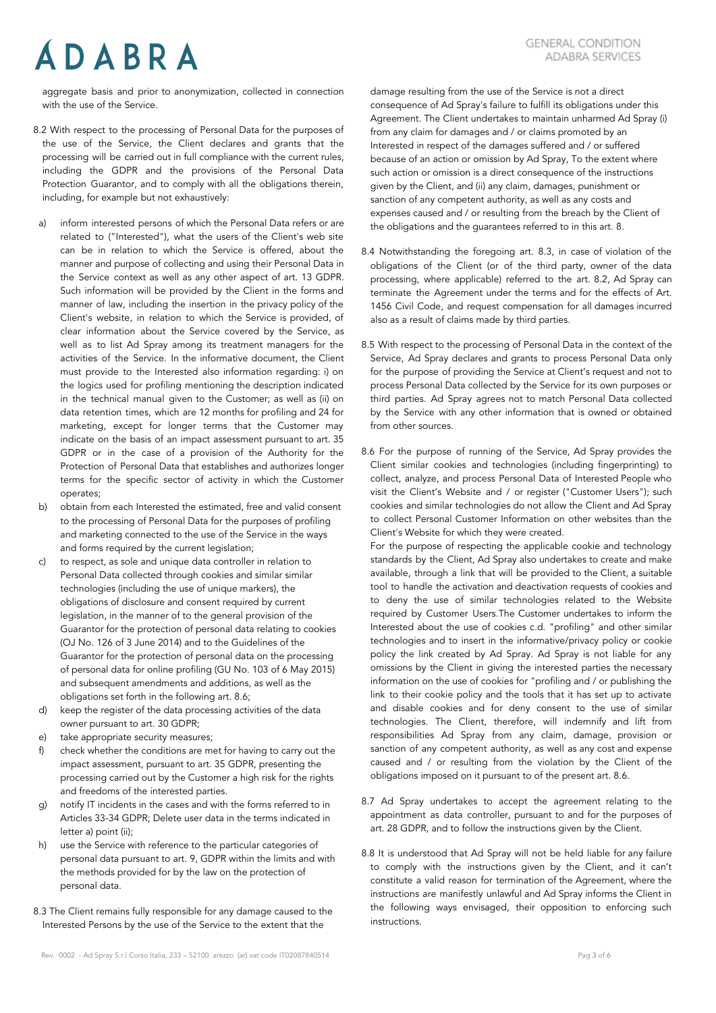aggregate basis and prior to anonymization, collected in connection with the use of the Service.

- 8.2 With respect to the processing of Personal Data for the purposes of the use of the Service, the Client declares and grants that the processing will be carried out in full compliance with the current rules, including the GDPR and the provisions of the Personal Data Protection Guarantor, and to comply with all the obligations therein, including, for example but not exhaustively:
- a) inform interested persons of which the Personal Data refers or are related to ("Interested"), what the users of the Client's web site can be in relation to which the Service is offered, about the manner and purpose of collecting and using their Personal Data in the Service context as well as any other aspect of art. 13 GDPR. Such information will be provided by the Client in the forms and manner of law, including the insertion in the privacy policy of the Client's website, in relation to which the Service is provided, of clear information about the Service covered by the Service, as well as to list Ad Spray among its treatment managers for the activities of the Service. In the informative document, the Client must provide to the Interested also information regarding: i) on the logics used for profiling mentioning the description indicated in the technical manual given to the Customer; as well as (ii) on data retention times, which are 12 months for profiling and 24 for marketing, except for longer terms that the Customer may indicate on the basis of an impact assessment pursuant to art. 35 GDPR or in the case of a provision of the Authority for the Protection of Personal Data that establishes and authorizes longer terms for the specific sector of activity in which the Customer operates;
- b) obtain from each Interested the estimated, free and valid consent to the processing of Personal Data for the purposes of profiling and marketing connected to the use of the Service in the ways and forms required by the current legislation;
- c) to respect, as sole and unique data controller in relation to Personal Data collected through cookies and similar similar technologies (including the use of unique markers), the obligations of disclosure and consent required by current legislation, in the manner of to the general provision of the Guarantor for the protection of personal data relating to cookies (OJ No. 126 of 3 June 2014) and to the Guidelines of the Guarantor for the protection of personal data on the processing of personal data for online profiling (GU No. 103 of 6 May 2015) and subsequent amendments and additions, as well as the obligations set forth in the following art. 8.6;
- d) keep the register of the data processing activities of the data owner pursuant to art. 30 GDPR;
- e) take appropriate security measures;
- f) check whether the conditions are met for having to carry out the impact assessment, pursuant to art. 35 GDPR, presenting the processing carried out by the Customer a high risk for the rights and freedoms of the interested parties.
- g) notify IT incidents in the cases and with the forms referred to in Articles 33-34 GDPR; Delete user data in the terms indicated in letter a) point (ii);
- h) use the Service with reference to the particular categories of personal data pursuant to art. 9, GDPR within the limits and with the methods provided for by the law on the protection of personal data.
- 8.3 The Client remains fully responsible for any damage caused to the Interested Persons by the use of the Service to the extent that the

damage resulting from the use of the Service is not a direct consequence of Ad Spray's failure to fulfill its obligations under this Agreement. The Client undertakes to maintain unharmed Ad Spray (i) from any claim for damages and / or claims promoted by an Interested in respect of the damages suffered and / or suffered because of an action or omission by Ad Spray, To the extent where such action or omission is a direct consequence of the instructions given by the Client, and (ii) any claim, damages, punishment or sanction of any competent authority, as well as any costs and expenses caused and / or resulting from the breach by the Client of the obligations and the guarantees referred to in this art. 8.

- 8.4 Notwithstanding the foregoing art. 8.3, in case of violation of the obligations of the Client (or of the third party, owner of the data processing, where applicable) referred to the art. 8.2, Ad Spray can terminate the Agreement under the terms and for the effects of Art. 1456 Civil Code, and request compensation for all damages incurred also as a result of claims made by third parties.
- 8.5 With respect to the processing of Personal Data in the context of the Service, Ad Spray declares and grants to process Personal Data only for the purpose of providing the Service at Client's request and not to process Personal Data collected by the Service for its own purposes or third parties. Ad Spray agrees not to match Personal Data collected by the Service with any other information that is owned or obtained from other sources.
- 8.6 For the purpose of running of the Service, Ad Spray provides the Client similar cookies and technologies (including fingerprinting) to collect, analyze, and process Personal Data of Interested People who visit the Client's Website and / or register ("Customer Users"); such cookies and similar technologies do not allow the Client and Ad Spray to collect Personal Customer Information on other websites than the Client's Website for which they were created.

For the purpose of respecting the applicable cookie and technology standards by the Client, Ad Spray also undertakes to create and make available, through a link that will be provided to the Client, a suitable tool to handle the activation and deactivation requests of cookies and to deny the use of similar technologies related to the Website required by Customer Users.The Customer undertakes to inform the Interested about the use of cookies c.d. "profiling" and other similar technologies and to insert in the informative/privacy policy or cookie policy the link created by Ad Spray. Ad Spray is not liable for any omissions by the Client in giving the interested parties the necessary information on the use of cookies for "profiling and / or publishing the link to their cookie policy and the tools that it has set up to activate and disable cookies and for deny consent to the use of similar technologies. The Client, therefore, will indemnify and lift from responsibilities Ad Spray from any claim, damage, provision or sanction of any competent authority, as well as any cost and expense caused and / or resulting from the violation by the Client of the obligations imposed on it pursuant to of the present art. 8.6.

- 8.7 Ad Spray undertakes to accept the agreement relating to the appointment as data controller, pursuant to and for the purposes of art. 28 GDPR, and to follow the instructions given by the Client.
- 8.8 It is understood that Ad Spray will not be held liable for any failure to comply with the instructions given by the Client, and it can't constitute a valid reason for termination of the Agreement, where the instructions are manifestly unlawful and Ad Spray informs the Client in the following ways envisaged, their opposition to enforcing such instructions.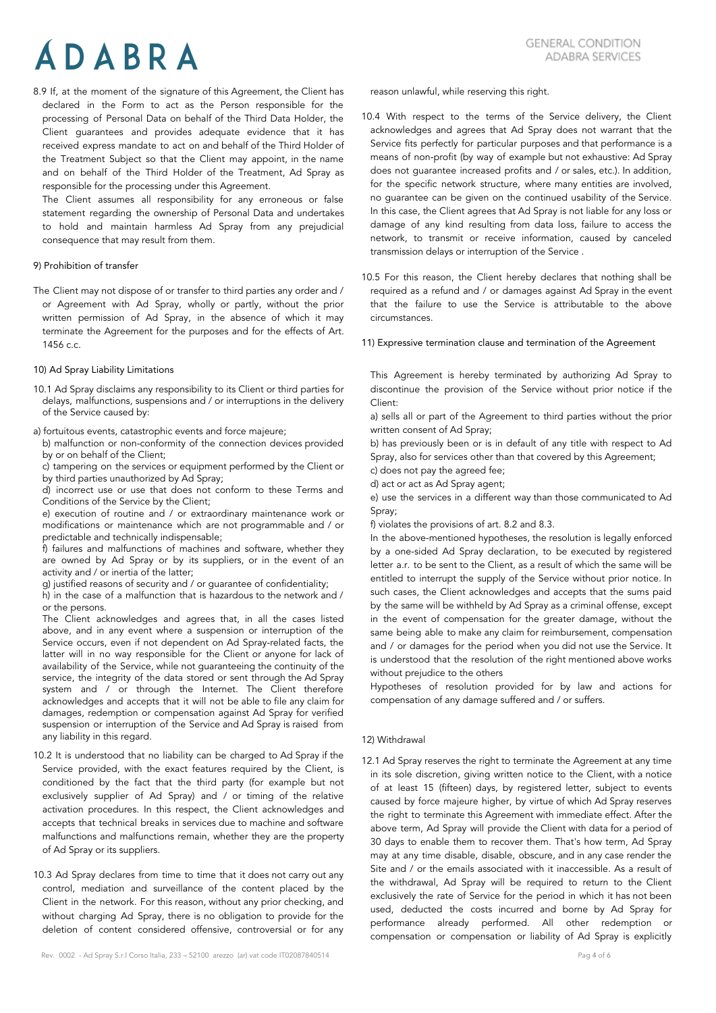8.9 If, at the moment of the signature of this Agreement, the Client has declared in the Form to act as the Person responsible for the processing of Personal Data on behalf of the Third Data Holder, the Client guarantees and provides adequate evidence that it has received express mandate to act on and behalf of the Third Holder of the Treatment Subject so that the Client may appoint, in the name and on behalf of the Third Holder of the Treatment, Ad Spray as responsible for the processing under this Agreement.

The Client assumes all responsibility for any erroneous or false statement regarding the ownership of Personal Data and undertakes to hold and maintain harmless Ad Spray from any prejudicial consequence that may result from them.

#### 9) Prohibition of transfer

The Client may not dispose of or transfer to third parties any order and / or Agreement with Ad Spray, wholly or partly, without the prior written permission of Ad Spray, in the absence of which it may terminate the Agreement for the purposes and for the effects of Art.  $1456$  c c.

#### 10) Ad Spray Liability Limitations

10.1 Ad Spray disclaims any responsibility to its Client or third parties for delays, malfunctions, suspensions and / or interruptions in the delivery of the Service caused by:

a) fortuitous events, catastrophic events and force majeure;

- b) malfunction or non-conformity of the connection devices provided by or on behalf of the Client;
- c) tampering on the services or equipment performed by the Client or by third parties unauthorized by Ad Spray;
- d) incorrect use or use that does not conform to these Terms and Conditions of the Service by the Client;

e) execution of routine and / or extraordinary maintenance work or modifications or maintenance which are not programmable and / or predictable and technically indispensable;

f) failures and malfunctions of machines and software, whether they are owned by Ad Spray or by its suppliers, or in the event of an activity and / or inertia of the latter;

g) justified reasons of security and / or guarantee of confidentiality;

h) in the case of a malfunction that is hazardous to the network and / or the persons.

The Client acknowledges and agrees that, in all the cases listed above, and in any event where a suspension or interruption of the Service occurs, even if not dependent on Ad Spray-related facts, the latter will in no way responsible for the Client or anyone for lack of availability of the Service, while not guaranteeing the continuity of the service, the integrity of the data stored or sent through the Ad Spray system and / or through the Internet. The Client therefore acknowledges and accepts that it will not be able to file any claim for damages, redemption or compensation against Ad Spray for verified suspension or interruption of the Service and Ad Spray is raised from any liability in this regard.

- 10.2 It is understood that no liability can be charged to Ad Spray if the Service provided, with the exact features required by the Client, is conditioned by the fact that the third party (for example but not exclusively supplier of Ad Spray) and / or timing of the relative activation procedures. In this respect, the Client acknowledges and accepts that technical breaks in services due to machine and software malfunctions and malfunctions remain, whether they are the property of Ad Spray or its suppliers.
- 10.3 Ad Spray declares from time to time that it does not carry out any control, mediation and surveillance of the content placed by the Client in the network. For this reason, without any prior checking, and without charging Ad Spray, there is no obligation to provide for the deletion of content considered offensive, controversial or for any

reason unlawful, while reserving this right.

- 10.4 With respect to the terms of the Service delivery, the Client acknowledges and agrees that Ad Spray does not warrant that the Service fits perfectly for particular purposes and that performance is a means of non-profit (by way of example but not exhaustive: Ad Spray does not guarantee increased profits and / or sales, etc.). In addition, for the specific network structure, where many entities are involved, no guarantee can be given on the continued usability of the Service. In this case, the Client agrees that Ad Spray is not liable for any loss or damage of any kind resulting from data loss, failure to access the network, to transmit or receive information, caused by canceled transmission delays or interruption of the Service .
- 10.5 For this reason, the Client hereby declares that nothing shall be required as a refund and / or damages against Ad Spray in the event that the failure to use the Service is attributable to the above circumstances.

#### 11) Expressive termination clause and termination of the Agreement

This Agreement is hereby terminated by authorizing Ad Spray to discontinue the provision of the Service without prior notice if the Client:

a) sells all or part of the Agreement to third parties without the prior written consent of Ad Spray;

b) has previously been or is in default of any title with respect to Ad Spray, also for services other than that covered by this Agreement;

c) does not pay the agreed fee;

d) act or act as Ad Spray agent;

e) use the services in a different way than those communicated to Ad Spray;

f) violates the provisions of art. 8.2 and 8.3.

In the above-mentioned hypotheses, the resolution is legally enforced by a one-sided Ad Spray declaration, to be executed by registered letter a.r. to be sent to the Client, as a result of which the same will be entitled to interrupt the supply of the Service without prior notice. In such cases, the Client acknowledges and accepts that the sums paid by the same will be withheld by Ad Spray as a criminal offense, except in the event of compensation for the greater damage, without the same being able to make any claim for reimbursement, compensation and / or damages for the period when you did not use the Service. It is understood that the resolution of the right mentioned above works without prejudice to the others

Hypotheses of resolution provided for by law and actions for compensation of any damage suffered and / or suffers.

### 12) Withdrawal

12.1 Ad Spray reserves the right to terminate the Agreement at any time in its sole discretion, giving written notice to the Client, with a notice of at least 15 (fifteen) days, by registered letter, subject to events caused by force majeure higher, by virtue of which Ad Spray reserves the right to terminate this Agreement with immediate effect. After the above term, Ad Spray will provide the Client with data for a period of 30 days to enable them to recover them. That's how term, Ad Spray may at any time disable, disable, obscure, and in any case render the Site and / or the emails associated with it inaccessible. As a result of the withdrawal, Ad Spray will be required to return to the Client exclusively the rate of Service for the period in which it has not been used, deducted the costs incurred and borne by Ad Spray for performance already performed. All other redemption or compensation or compensation or liability of Ad Spray is explicitly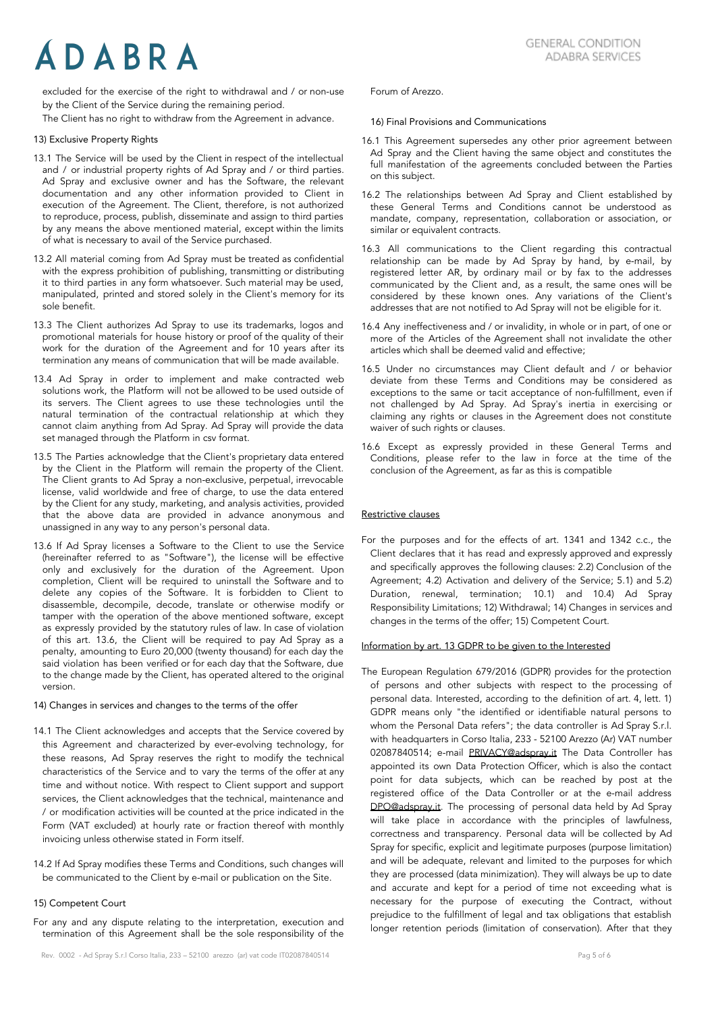excluded for the exercise of the right to withdrawal and / or non-use by the Client of the Service during the remaining period.

The Client has no right to withdraw from the Agreement in advance.

# 13) Exclusive Property Rights

- 13.1 The Service will be used by the Client in respect of the intellectual and / or industrial property rights of Ad Spray and / or third parties. Ad Spray and exclusive owner and has the Software, the relevant documentation and any other information provided to Client in execution of the Agreement. The Client, therefore, is not authorized to reproduce, process, publish, disseminate and assign to third parties by any means the above mentioned material, except within the limits of what is necessary to avail of the Service purchased.
- 13.2 All material coming from Ad Spray must be treated as confidential with the express prohibition of publishing, transmitting or distributing it to third parties in any form whatsoever. Such material may be used, manipulated, printed and stored solely in the Client's memory for its sole benefit.
- 13.3 The Client authorizes Ad Spray to use its trademarks, logos and promotional materials for house history or proof of the quality of their work for the duration of the Agreement and for 10 years after its termination any means of communication that will be made available.
- 13.4 Ad Spray in order to implement and make contracted web solutions work, the Platform will not be allowed to be used outside of its servers. The Client agrees to use these technologies until the natural termination of the contractual relationship at which they cannot claim anything from Ad Spray. Ad Spray will provide the data set managed through the Platform in csv format.
- 13.5 The Parties acknowledge that the Client's proprietary data entered by the Client in the Platform will remain the property of the Client. The Client grants to Ad Spray a non-exclusive, perpetual, irrevocable license, valid worldwide and free of charge, to use the data entered by the Client for any study, marketing, and analysis activities, provided that the above data are provided in advance anonymous and unassigned in any way to any person's personal data.
- 13.6 If Ad Spray licenses a Software to the Client to use the Service (hereinafter referred to as "Software"), the license will be effective only and exclusively for the duration of the Agreement. Upon completion, Client will be required to uninstall the Software and to delete any copies of the Software. It is forbidden to Client to disassemble, decompile, decode, translate or otherwise modify or tamper with the operation of the above mentioned software, except as expressly provided by the statutory rules of law. In case of violation of this art. 13.6, the Client will be required to pay Ad Spray as a penalty, amounting to Euro 20,000 (twenty thousand) for each day the said violation has been verified or for each day that the Software, due to the change made by the Client, has operated altered to the original version.
- 14) Changes in services and changes to the terms of the offer
- 14.1 The Client acknowledges and accepts that the Service covered by this Agreement and characterized by ever-evolving technology, for these reasons, Ad Spray reserves the right to modify the technical characteristics of the Service and to vary the terms of the offer at any time and without notice. With respect to Client support and support services, the Client acknowledges that the technical, maintenance and / or modification activities will be counted at the price indicated in the Form (VAT excluded) at hourly rate or fraction thereof with monthly invoicing unless otherwise stated in Form itself.
- 14.2 If Ad Spray modifies these Terms and Conditions, such changes will be communicated to the Client by e-mail or publication on the Site.

# 15) Competent Court

For any and any dispute relating to the interpretation, execution and termination of this Agreement shall be the sole responsibility of the Forum of Arezzo.

#### 16) Final Provisions and Communications

- 16.1 This Agreement supersedes any other prior agreement between Ad Spray and the Client having the same object and constitutes the full manifestation of the agreements concluded between the Parties on this subject.
- 16.2 The relationships between Ad Spray and Client established by these General Terms and Conditions cannot be understood as mandate, company, representation, collaboration or association, or similar or equivalent contracts.
- 16.3 All communications to the Client regarding this contractual relationship can be made by Ad Spray by hand, by e-mail, by registered letter AR, by ordinary mail or by fax to the addresses communicated by the Client and, as a result, the same ones will be considered by these known ones. Any variations of the Client's addresses that are not notified to Ad Spray will not be eligible for it.
- 16.4 Any ineffectiveness and / or invalidity, in whole or in part, of one or more of the Articles of the Agreement shall not invalidate the other articles which shall be deemed valid and effective;
- 16.5 Under no circumstances may Client default and / or behavior deviate from these Terms and Conditions may be considered as exceptions to the same or tacit acceptance of non-fulfillment, even if not challenged by Ad Spray. Ad Spray's inertia in exercising or claiming any rights or clauses in the Agreement does not constitute waiver of such rights or clauses.
- 16.6 Except as expressly provided in these General Terms and Conditions, please refer to the law in force at the time of the conclusion of the Agreement, as far as this is compatible

## Restrictive clauses

For the purposes and for the effects of art. 1341 and 1342 c.c., the Client declares that it has read and expressly approved and expressly and specifically approves the following clauses: 2.2) Conclusion of the Agreement; 4.2) Activation and delivery of the Service; 5.1) and 5.2) Duration, renewal, termination; 10.1) and 10.4) Ad Spray Responsibility Limitations; 12) Withdrawal; 14) Changes in services and changes in the terms of the offer; 15) Competent Court.

## Information by art. 13 GDPR to be given to the Interested

The European Regulation 679/2016 (GDPR) provides for the protection of persons and other subjects with respect to the processing of personal data. Interested, according to the definition of art. 4, lett. 1) GDPR means only "the identified or identifiable natural persons to whom the Personal Data refers"; the data controller is Ad Spray S.r.l. with headquarters in Corso Italia, 233 - 52100 Arezzo (Ar) VAT number 02087840514; e-mail [PRIVACY@adspray.it](mailto:PRIVACY@adspray.it) The Data Controller has appointed its own Data Protection Officer, which is also the contact point for data subjects, which can be reached by post at the registered office of the Data Controller or at the e-mail address [DPO@adspray.it.](mailto:DPO@adspray.it) The processing of personal data held by Ad Spray will take place in accordance with the principles of lawfulness, correctness and transparency. Personal data will be collected by Ad Spray for specific, explicit and legitimate purposes (purpose limitation) and will be adequate, relevant and limited to the purposes for which they are processed (data minimization). They will always be up to date and accurate and kept for a period of time not exceeding what is necessary for the purpose of executing the Contract, without prejudice to the fulfillment of legal and tax obligations that establish longer retention periods (limitation of conservation). After that they